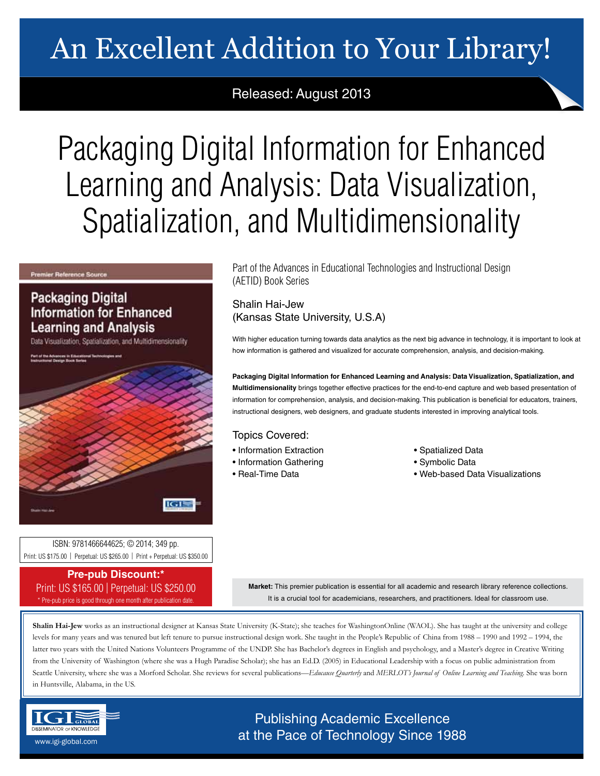# An Excellent Addition to Your Library!

## Released: August 2013

# Packaging Digital Information for Enhanced Learning and Analysis: Data Visualization, Spatialization, and Multidimensionality

#### **Premier Reference Source**

## **Packaging Digital Information for Enhanced Learning and Analysis**

Data Visualization, Spatialization, and Multidimensionality



ISBN: 9781466644625; © 2014; 349 pp. Print: US \$175.00 | Perpetual: US \$265.00 | Print + Perpetual: US \$350.00

**Pre-pub Discount:\*** Print: US \$165.00 | Perpetual: US \$250.00 \* Pre-pub price is good through one month after publication date.

Part of the Advances in Educational Technologies and Instructional Design (AETID) Book Series

### Shalin Hai-Jew (Kansas State University, U.S.A)

With higher education turning towards data analytics as the next big advance in technology, it is important to look at how information is gathered and visualized for accurate comprehension, analysis, and decision-making.

**Packaging Digital Information for Enhanced Learning and Analysis: Data Visualization, Spatialization, and Multidimensionality** brings together effective practices for the end-to-end capture and web based presentation of information for comprehension, analysis, and decision-making. This publication is beneficial for educators, trainers, instructional designers, web designers, and graduate students interested in improving analytical tools.

### Topics Covered:

- Information Extraction
- Information Gathering
- Real-Time Data
- Spatialized Data
- Symbolic Data
- Web-based Data Visualizations

**Market:** This premier publication is essential for all academic and research library reference collections. It is a crucial tool for academicians, researchers, and practitioners. Ideal for classroom use.

Shalin Hai-Jew works as an instructional designer at Kansas State University (K-State); she teaches for WashingtonOnline (WAOL). She has taught at the university and college levels for many years and was tenured but left tenure to pursue instructional design work. She taught in the People's Republic of China from 1988 – 1990 and 1992 – 1994, the latter two years with the United Nations Volunteers Programme of the UNDP. She has Bachelor's degrees in English and psychology, and a Master's degree in Creative Writing from the University of Washington (where she was a Hugh Paradise Scholar); she has an Ed.D. (2005) in Educational Leadership with a focus on public administration from Seattle University, where she was a Morford Scholar. She reviews for several publications—*Educause Quarterly* and *MERLOT's Journal of Online Learning and Teaching*. She was born in Huntsville, Alabama, in the US.



Publishing Academic Excellence  $\frac{\text{asymalor or two different points} }{\text{asymalgebra}}$  at the Pace of Technology Since 1988